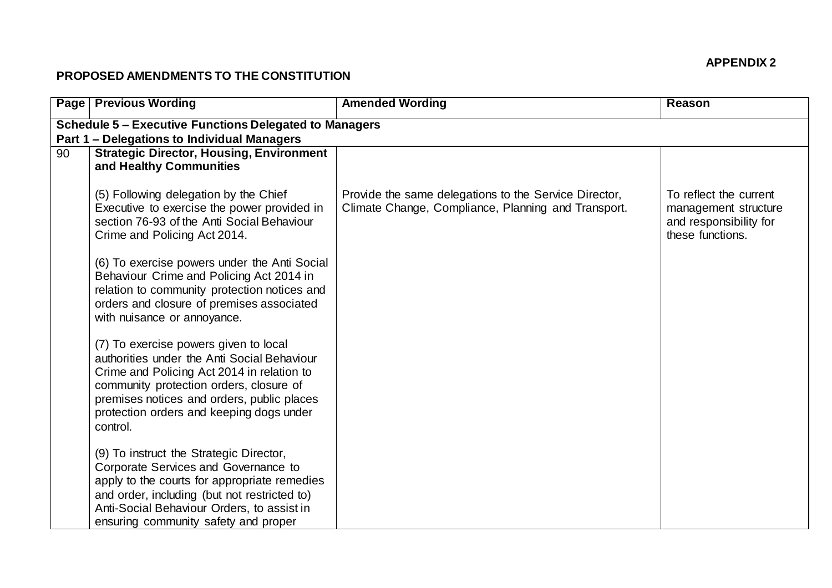## **APPENDIX 2**

## **PROPOSED AMENDMENTS TO THE CONSTITUTION**

|                                                                                                                     | <b>Page Previous Wording</b>                                                                                                                                                                                                                                                        | <b>Amended Wording</b>                                                                                       | Reason                                                                                       |  |  |
|---------------------------------------------------------------------------------------------------------------------|-------------------------------------------------------------------------------------------------------------------------------------------------------------------------------------------------------------------------------------------------------------------------------------|--------------------------------------------------------------------------------------------------------------|----------------------------------------------------------------------------------------------|--|--|
| <b>Schedule 5 - Executive Functions Delegated to Managers</b><br><b>Part 1 – Delegations to Individual Managers</b> |                                                                                                                                                                                                                                                                                     |                                                                                                              |                                                                                              |  |  |
| 90                                                                                                                  | <b>Strategic Director, Housing, Environment</b><br>and Healthy Communities                                                                                                                                                                                                          |                                                                                                              |                                                                                              |  |  |
|                                                                                                                     | (5) Following delegation by the Chief<br>Executive to exercise the power provided in<br>section 76-93 of the Anti Social Behaviour<br>Crime and Policing Act 2014.                                                                                                                  | Provide the same delegations to the Service Director,<br>Climate Change, Compliance, Planning and Transport. | To reflect the current<br>management structure<br>and responsibility for<br>these functions. |  |  |
|                                                                                                                     | (6) To exercise powers under the Anti Social<br>Behaviour Crime and Policing Act 2014 in<br>relation to community protection notices and<br>orders and closure of premises associated<br>with nuisance or annoyance.                                                                |                                                                                                              |                                                                                              |  |  |
|                                                                                                                     | (7) To exercise powers given to local<br>authorities under the Anti Social Behaviour<br>Crime and Policing Act 2014 in relation to<br>community protection orders, closure of<br>premises notices and orders, public places<br>protection orders and keeping dogs under<br>control. |                                                                                                              |                                                                                              |  |  |
|                                                                                                                     | (9) To instruct the Strategic Director,<br>Corporate Services and Governance to<br>apply to the courts for appropriate remedies<br>and order, including (but not restricted to)<br>Anti-Social Behaviour Orders, to assist in<br>ensuring community safety and proper               |                                                                                                              |                                                                                              |  |  |